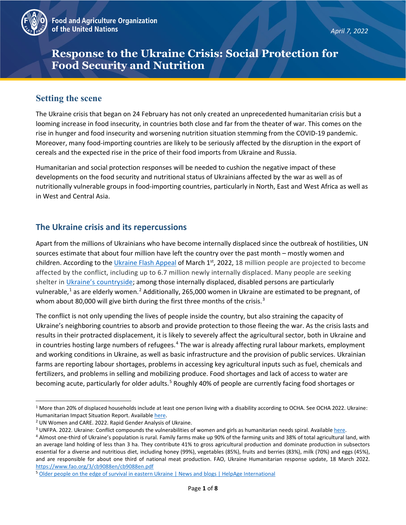

# **Response to the Ukraine Crisis: Social Protection for Food Security and Nutrition**

## **Setting the scene**

The Ukraine crisis that began on 24 February has not only created an unprecedented humanitarian crisis but a looming increase in food insecurity, in countries both close and far from the theater of war. This comes on the rise in hunger and food insecurity and worsening nutrition situation stemming from the COVID-19 pandemic. Moreover, many food-importing countries are likely to be seriously affected by the disruption in the export of cereals and the expected rise in the price of their food imports from Ukraine and Russia.

Humanitarian and social protection responses will be needed to cushion the negative impact of these developments on the food security and nutritional status of Ukrainians affected by the war as well as of nutritionally vulnerable groups in food-importing countries, particularly in North, East and West Africa as well as in West and Central Asia.

### **The Ukraine crisis and its repercussions**

Apart from the millions of Ukrainians who have become internally displaced since the outbreak of hostilities, UN sources estimate that about four million have left the country over the past month – mostly women and children. According to the [Ukraine Flash Appeal](https://reliefweb.int/report/ukraine/ukraine-flash-appeal-march-may-2022-enuk) of March 1<sup>st</sup>, 2022, 18 million people are projected to become affected by the conflict, including up to 6.7 million newly internally displaced. Many people are seeking shelter in [Ukraine's countryside;](https://www.france24.com/en/europe/20220309-easier-to-survive-outside-cities-ukraine-s-countryside-provides-safe-haven-from-russian-invasion) among those internally displaced, disabled persons are particularly vulnerable,<sup>[1](#page-0-0)</sup> as are elderly women.<sup>[2](#page-0-1)</sup> Additionally, 265,000 women in Ukraine are estimated to be pregnant, of whom about 80,000 will give birth during the first three months of the crisis.<sup>[3](#page-0-2)</sup>

The conflict is not only upending the lives of people inside the country, but also straining the capacity of Ukraine's neighboring countries to absorb and provide protection to those fleeing the war. As the crisis lasts and results in their protracted displacement, it is likely to severely affect the agricultural sector, both in Ukraine and in countries hosting large numbers of refugees.<sup>[4](#page-0-3)</sup> The war is already affecting rural labour markets, employment and working conditions in Ukraine, as well as basic infrastructure and the provision of public services. Ukrainian farms are reporting labour shortages, problems in accessing key agricultural inputs such as fuel, chemicals and fertilizers, and problems in selling and mobilizing produce. Food shortages and lack of access to water are becoming acute, particularly for older adults.<sup>[5](#page-0-4)</sup> Roughly 40% of people are currently facing food shortages or

<span id="page-0-0"></span> $1$  More than 20% of displaced households include at least one person living with a disability according to OCHA. See OCHA 2022. Ukraine:

<span id="page-0-1"></span>Humanitarian Impact Situation Report. Availabl[e here.](https://reliefweb.int/sites/reliefweb.int/files/resources/2022-03-25_Ukraine%20Humanitarian%20Impact%20SitRep_FINAL.pdf)<br><sup>2</sup> UN Women and CARE. 2022. Rapid Gender Analysis of Ukraine.

<span id="page-0-2"></span><sup>&</sup>lt;sup>3</sup> UNFPA. 2022. Ukraine: Conflict compounds the vulnerabilities of women and girls as humanitarian needs spiral. Available [here.](https://www.unfpa.org/ukraine-war)<br><sup>4</sup> Almost one-third of Ukraine's population is rural. Family farms make up 90% of the farmi

<span id="page-0-3"></span>an average land holding of less than 3 ha. They contribute 41% to gross agricultural production and dominate production in subsectors essential for a diverse and nutritious diet, including honey (99%), vegetables (85%), fruits and berries (83%), milk (70%) and eggs (45%), and are responsible for about one third of national meat production. FAO, Ukraine Humanitarian response update, 18 March 2022. https://www.fao.org/3/cb9088en/cb9088en.pdf<br><sup>5</sup> Older people on the edge of survival in eastern Ukraine | News and blogs | HelpAge International

<span id="page-0-4"></span>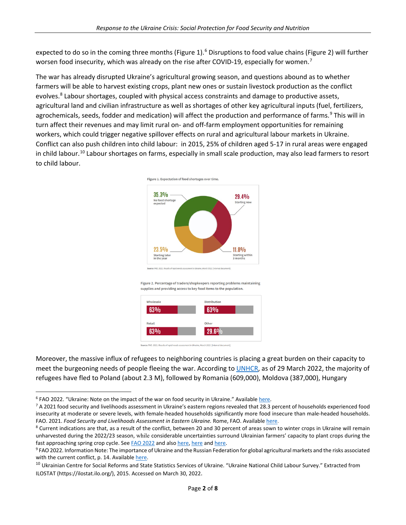expected to do so in the coming three months (Figure 1).<sup>[6](#page-1-0)</sup> Disruptions to food value chains (Figure 2) will further worsen food insecurity, which was already on the rise after COVID-19, especially for women.<sup>[7](#page-1-1)</sup>

The war has already disrupted Ukraine's agricultural growing season, and questions abound as to whether farmers will be able to harvest existing crops, plant new ones or sustain livestock production as the conflict evolves.<sup>[8](#page-1-2)</sup> Labour shortages, coupled with physical access constraints and damage to productive assets, agricultural land and civilian infrastructure as well as shortages of other key agricultural inputs (fuel, fertilizers, agrochemicals, seeds, fodder and medication) will affect the production and performance of farms.<sup>[9](#page-1-3)</sup> This will in turn affect their revenues and may limit rural on- and off-farm employment opportunities for remaining workers, which could trigger negative spillover effects on rural and agricultural labour markets in Ukraine. Conflict can also push children into child labour: in 2015, 25% of children aged 5-17 in rural areas were engaged in child labour.<sup>[10](#page-1-4)</sup> Labour shortages on farms, especially in small scale production, may also lead farmers to resort to child labour.



Figure 1. Expectation of food shortages over time.

Figure 2. Percentage of traders/shopkeepers reporting problems maintaining supplies and providing access to key food items to the population.



Moreover, the massive influx of refugees to neighboring countries is placing a great burden on their capacity to meet the burgeoning needs of people fleeing the war. According t[o UNHCR,](https://data2.unhcr.org/en/situations/ukraine) as of 29 March 2022, the majority of refugees have fled to Poland (about 2.3 M), followed by Romania (609,000), Moldova (387,000), Hungary

<span id="page-1-1"></span><span id="page-1-0"></span><sup>&</sup>lt;sup>6</sup> FAO 2022. "Ukraine: Note on the impact of the war on food security in Ukraine." Available here.<br><sup>7</sup> A 2021 food security and livelihoods assessment in Ukraine's eastern regions revealed that 28.3 percent of households insecurity at moderate or severe levels, with female-headed households significantly more food insecure than male-headed households.

<span id="page-1-2"></span>FAO. 2021. Food Security and Livelihoods Assessment in Eastern Ukraine. Rome, FAO. Available here.<br><sup>8</sup> Current indications are that, as a result of the conflict, between 20 and 30 percent of areas sown to winter crops in U unharvested during the 2022/23 season, while considerable uncertainties surround Ukrainian farmers' capacity to plant crops during the

<span id="page-1-3"></span>f[a](https://www.washingtonpost.com/world/2022/03/11/ukraine-food-crisis-global-exports/)st approaching spring crop cycle. See FAO 2022 and also here, here and here.<br><sup>9</sup> FAO 2022. Information Note: The importance of Ukraine and the Russian Federation for global agricultural markets and the risks associated with the current conflict, p. 14. Availabl[e here.](https://www.fao.org/fileadmin/user_upload/faoweb/2022/Info-Note-Ukraine-Russian-Federation.pdf)

<span id="page-1-4"></span><sup>&</sup>lt;sup>10</sup> Ukrainian Centre for Social Reforms and State Statistics Services of Ukraine. "Ukraine National Child Labour Survey." Extracted from ILOSTAT (https://ilostat.ilo.org/), 2015. Accessed on March 30, 2022.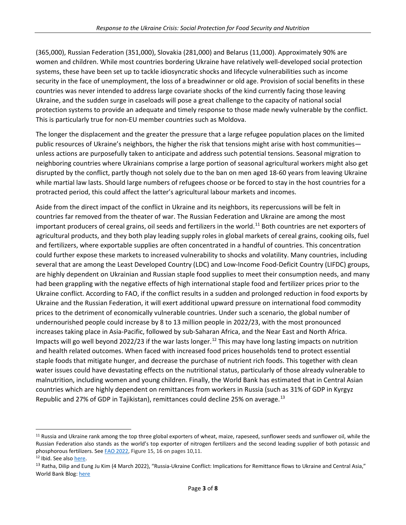(365,000), Russian Federation (351,000), Slovakia (281,000) and Belarus (11,000). Approximately 90% are women and children. While most countries bordering Ukraine have relatively well-developed social protection systems, these have been set up to tackle idiosyncratic shocks and lifecycle vulnerabilities such as income security in the face of unemployment, the loss of a breadwinner or old age. Provision of social benefits in these countries was never intended to address large covariate shocks of the kind currently facing those leaving Ukraine, and the sudden surge in caseloads will pose a great challenge to the capacity of national social protection systems to provide an adequate and timely response to those made newly vulnerable by the conflict. This is particularly true for non-EU member countries such as Moldova.

The longer the displacement and the greater the pressure that a large refugee population places on the limited public resources of Ukraine's neighbors, the higher the risk that tensions might arise with host communities unless actions are purposefully taken to anticipate and address such potential tensions. Seasonal migration to neighboring countries where Ukrainians comprise a large portion of seasonal agricultural workers might also get disrupted by the conflict, partly though not solely due to the ban on men aged 18-60 years from leaving Ukraine while martial law lasts. Should large numbers of refugees choose or be forced to stay in the host countries for a protracted period, this could affect the latter's agricultural labour markets and incomes.

Aside from the direct impact of the conflict in Ukraine and its neighbors, its repercussions will be felt in countries far removed from the theater of war. The Russian Federation and Ukraine are among the most important producers of cereal grains, oil seeds and fertilizers in the world.<sup>[11](#page-2-0)</sup> Both countries are net exporters of agricultural products, and they both play leading supply roles in global markets of cereal grains, cooking oils, fuel and fertilizers, where exportable supplies are often concentrated in a handful of countries. This concentration could further expose these markets to increased vulnerability to shocks and volatility. Many countries, including several that are among the Least Developed Country (LDC) and Low-Income Food-Deficit Country (LIFDC) groups, are highly dependent on Ukrainian and Russian staple food supplies to meet their consumption needs, and many had been grappling with the negative effects of high international staple food and fertilizer prices prior to the Ukraine conflict. According to FAO, if the conflict results in a sudden and prolonged reduction in food exports by Ukraine and the Russian Federation, it will exert additional upward pressure on international food commodity prices to the detriment of economically vulnerable countries. Under such a scenario, the global number of undernourished people could increase by 8 to 13 million people in 2022/23, with the most pronounced increases taking place in Asia-Pacific, followed by sub-Saharan Africa, and the Near East and North Africa. Impacts will go well beyond 2022/23 if the war lasts longer.<sup>[12](#page-2-1)</sup> This may have long lasting impacts on nutrition and health related outcomes. When faced with increased food prices households tend to protect essential staple foods that mitigate hunger, and decrease the purchase of nutrient rich foods. This together with clean water issues could have devastating effects on the nutritional status, particularly of those already vulnerable to malnutrition, including women and young children. Finally, the World Bank has estimated that in Central Asian countries which are highly dependent on remittances from workers in Russia (such as 31% of GDP in Kyrgyz Republic and 27% of GDP in Tajikistan), remittances could decline 25% on average.<sup>[13](#page-2-2)</sup>

<span id="page-2-0"></span><sup>&</sup>lt;sup>11</sup> Russia and Ukraine rank among the top three global exporters of wheat, maize, rapeseed, sunflower seeds and sunflower oil, while the Russian Federation also stands as the world's top exporter of nitrogen fertilizers and the second leading supplier of both potassic and phosphorous fertilizers. See [FAO 2022,](https://www.fao.org/fileadmin/user_upload/faoweb/2022/Info-Note-Ukraine-Russian-Federation.pdf) Figure 15, 16 on pages 10,11.

<span id="page-2-2"></span><span id="page-2-1"></span><sup>&</sup>lt;sup>12</sup> Ibid. See also <u>here</u>.<br><sup>13</sup> Ratha, Dilip and Eung Ju Kim (4 March 2022), "Russia-Ukraine Conflict: Implications for Remittance flows to Ukraine and Central Asia," World Bank Blog[: here](https://blogs.worldbank.org/peoplemove/russia-ukraine-conflict-implications-remittance-flows-ukraine-and-central-asia)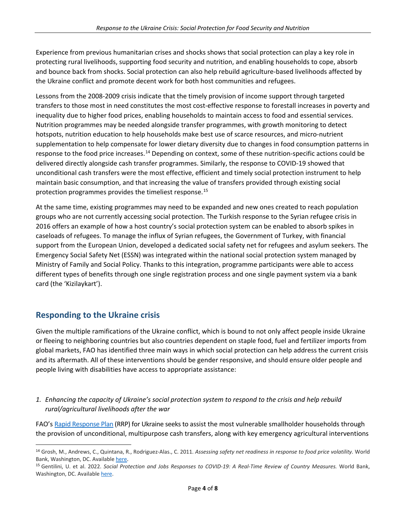Experience from previous humanitarian crises and shocks shows that social protection can play a key role in protecting rural livelihoods, supporting food security and nutrition, and enabling households to cope, absorb and bounce back from shocks. Social protection can also help rebuild agriculture-based livelihoods affected by the Ukraine conflict and promote decent work for both host communities and refugees.

Lessons from the 2008-2009 crisis indicate that the timely provision of income support through targeted transfers to those most in need constitutes the most cost-effective response to forestall increases in poverty and inequality due to higher food prices, enabling households to maintain access to food and essential services. Nutrition programmes may be needed alongside transfer programmes, with growth monitoring to detect hotspots, nutrition education to help households make best use of scarce resources, and micro-nutrient supplementation to help compensate for lower dietary diversity due to changes in food consumption patterns in response to the food price increases.<sup>[14](#page-3-0)</sup> Depending on context, some of these nutrition-specific actions could be delivered directly alongside cash transfer programmes. Similarly, the response to COVID-19 showed that unconditional cash transfers were the most effective, efficient and timely social protection instrument to help maintain basic consumption, and that increasing the value of transfers provided through existing social protection programmes provides the timeliest response.[15](#page-3-1) 

At the same time, existing programmes may need to be expanded and new ones created to reach population groups who are not currently accessing social protection. The Turkish response to the Syrian refugee crisis in 2016 offers an example of how a host country's social protection system can be enabled to absorb spikes in caseloads of refugees. To manage the influx of Syrian refugees, the Government of Turkey, with financial support from the European Union, developed a dedicated social safety net for refugees and asylum seekers. The Emergency Social Safety Net (ESSN) was integrated within the national social protection system managed by Ministry of Family and Social Policy. Thanks to this integration, programme participants were able to access different types of benefits through one single registration process and one single payment system via a bank card (the 'Kizilaykart').

# **Responding to the Ukraine crisis**

Given the multiple ramifications of the Ukraine conflict, which is bound to not only affect people inside Ukraine or fleeing to neighboring countries but also countries dependent on staple food, fuel and fertilizer imports from global markets, FAO has identified three main ways in which social protection can help address the current crisis and its aftermath. All of these interventions should be gender responsive, and should ensure older people and people living with disabilities have access to appropriate assistance:

### *1. Enhancing the capacity of Ukraine's social protection system to respond to the crisis and help rebuild rural/agricultural livelihoods after the war*

FAO's [Rapid Response Plan](https://reliefweb.int/sites/reliefweb.int/files/resources/cb8935en.pdf) (RRP) for Ukraine seeks to assist the most vulnerable smallholder households through the provision of unconditional, multipurpose cash transfers, along with key emergency agricultural interventions

<span id="page-3-0"></span><sup>14</sup> Grosh, M., Andrews, C., Quintana, R., Rodriguez-Alas., C. 2011. *Assessing safety net readiness in response to food price volatility.* World Bank, Washington, DC. Available here.<br><sup>15</sup> Gentilini, U. et al. 2022. *Social Protection and Jobs Responses to COVID-19: A Real-Time Review of Country Measures. World Bank,* 

<span id="page-3-1"></span>Washington, DC. Availabl[e here.](https://documents1.worldbank.org/curated/en/110221643895832724/pdf/Social-Protection-and-Jobs-Responses-to-COVID-19-A-Real-Time-Review-of-Country-Measures.pdf)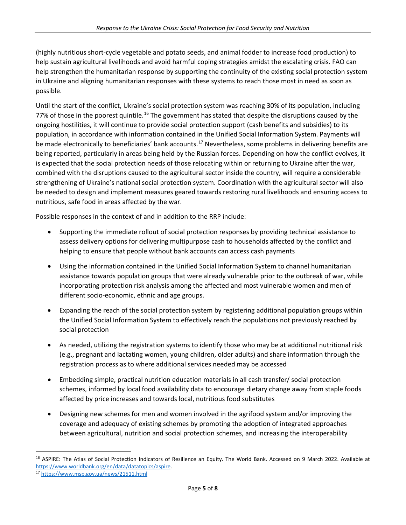(highly nutritious short-cycle vegetable and potato seeds, and animal fodder to increase food production) to help sustain agricultural livelihoods and avoid harmful coping strategies amidst the escalating crisis. FAO can help strengthen the humanitarian response by supporting the continuity of the existing social protection system in Ukraine and aligning humanitarian responses with these systems to reach those most in need as soon as possible.

Until the start of the conflict, Ukraine's social protection system was reaching 30% of its population, including 77% of those in the poorest quintile.<sup>[16](#page-4-0)</sup> The government has stated that despite the disruptions caused by the ongoing hostilities, it will continue to provide social protection support (cash benefits and subsidies) to its population, in accordance with information contained in the Unified Social Information System. Payments will be made electronically to beneficiaries' bank accounts.<sup>[17](#page-4-1)</sup> Nevertheless, some problems in delivering benefits are being reported, particularly in areas being held by the Russian forces. Depending on how the conflict evolves, it is expected that the social protection needs of those relocating within or returning to Ukraine after the war, combined with the disruptions caused to the agricultural sector inside the country, will require a considerable strengthening of Ukraine's national social protection system. Coordination with the agricultural sector will also be needed to design and implement measures geared towards restoring rural livelihoods and ensuring access to nutritious, safe food in areas affected by the war.

Possible responses in the context of and in addition to the RRP include:

- Supporting the immediate rollout of social protection responses by providing technical assistance to assess delivery options for delivering multipurpose cash to households affected by the conflict and helping to ensure that people without bank accounts can access cash payments
- Using the information contained in the Unified Social Information System to channel humanitarian assistance towards population groups that were already vulnerable prior to the outbreak of war, while incorporating protection risk analysis among the affected and most vulnerable women and men of different socio-economic, ethnic and age groups.
- Expanding the reach of the social protection system by registering additional population groups within the Unified Social Information System to effectively reach the populations not previously reached by social protection
- As needed, utilizing the registration systems to identify those who may be at additional nutritional risk (e.g., pregnant and lactating women, young children, older adults) and share information through the registration process as to where additional services needed may be accessed
- Embedding simple, practical nutrition education materials in all cash transfer/ social protection schemes, informed by local food availability data to encourage dietary change away from staple foods affected by price increases and towards local, nutritious food substitutes
- Designing new schemes for men and women involved in the agrifood system and/or improving the coverage and adequacy of existing schemes by promoting the adoption of integrated approaches between agricultural, nutrition and social protection schemes, and increasing the interoperability

<span id="page-4-0"></span><sup>&</sup>lt;sup>16</sup> ASPIRE: The Atlas of Social Protection Indicators of Resilience an Equity. The World Bank. Accessed on 9 March 2022. Available at [https://www.worldbank.org/en/data/datatopics/aspire.](https://www.worldbank.org/en/data/datatopics/aspire) 17 <https://www.msp.gov.ua/news/21511.html>

<span id="page-4-1"></span>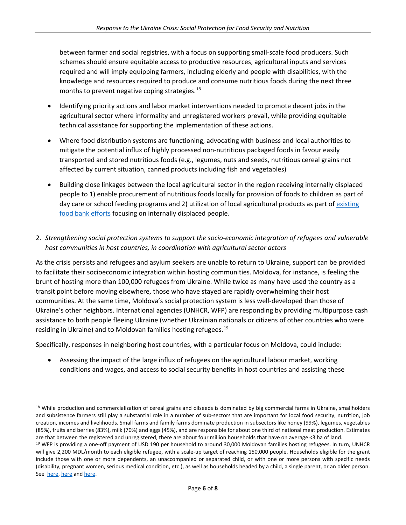between farmer and social registries, with a focus on supporting small-scale food producers. Such schemes should ensure equitable access to productive resources, agricultural inputs and services required and will imply equipping farmers, including elderly and people with disabilities, with the knowledge and resources required to produce and consume nutritious foods during the next three months to prevent negative coping strategies. [18](#page-5-0)

- Identifying priority actions and labor market interventions needed to promote decent jobs in the agricultural sector where informality and unregistered workers prevail, while providing equitable technical assistance for supporting the implementation of these actions.
- Where food distribution systems are functioning, advocating with business and local authorities to mitigate the potential influx of highly processed non-nutritious packaged foods in favour easily transported and stored nutritious foods (e.g., legumes, nuts and seeds, nutritious cereal grains not affected by current situation, canned products including fish and vegetables)
- Building close linkages between the local agricultural sector in the region receiving internally displaced people to 1) enable procurement of nutritious foods locally for provision of foods to children as part of day care or school feeding programs and 2) utilization of local agricultural products as part of existing [food bank efforts](https://www.eurofoodbank.org/feba-supports-ukraine/) focusing on internally displaced people.

#### 2. *Strengthening social protection systems to support the socio-economic integration of refugees and vulnerable host communities in host countries, in coordination with agricultural sector actors*

As the crisis persists and refugees and asylum seekers are unable to return to Ukraine, support can be provided to facilitate their socioeconomic integration within hosting communities. Moldova, for instance, is feeling the brunt of hosting more than 100,000 refugees from Ukraine. While twice as many have used the country as a transit point before moving elsewhere, those who have stayed are rapidly overwhelming their host communities. At the same time, Moldova's social protection system is less well-developed than those of Ukraine's other neighbors. International agencies (UNHCR, WFP) are responding by providing multipurpose cash assistance to both people fleeing Ukraine (whether Ukrainian nationals or citizens of other countries who were residing in Ukraine) and to Moldovan families hosting refugees.<sup>[19](#page-5-1)</sup>

Specifically, responses in neighboring host countries, with a particular focus on Moldova, could include:

• Assessing the impact of the large influx of refugees on the agricultural labour market, working conditions and wages, and access to social security benefits in host countries and assisting these

<span id="page-5-0"></span><sup>&</sup>lt;sup>18</sup> While production and commercialization of cereal grains and oilseeds is dominated by big commercial farms in Ukraine, smallholders and subsistence farmers still play a substantial role in a number of sub-sectors that are important for local food security, nutrition, job creation, incomes and livelihoods. Small farms and family farms dominate production in subsectors like honey (99%), legumes, vegetables (85%), fruits and berries (83%), milk (70%) and eggs (45%), and are responsible for about one third of national meat production. Estimates are that between the registered and unregistered, there are about four million households that have on average <3 ha of land.

<span id="page-5-1"></span><sup>&</sup>lt;sup>19</sup> WFP is providing a one-off payment of USD 190 per household to around 30,000 Moldovan families hosting refugees. In turn, UNHCR will give 2,200 MDL/month to each eligible refugee, with a scale-up target of reaching 150,000 people. Households eligible for the grant include those with one or more dependents, an unaccompanied or separated child, or with one or more persons with specific needs (disability, pregnant women, serious medical condition, etc.), as well as households headed by a child, a single parent, or an older person. See [here,](https://reliefweb.int/sites/reliefweb.int/files/resources/Ukraine%20situation%20flash%20update-30March2022.pdf) [here](https://reliefweb.int/sites/reliefweb.int/files/resources/WFP%20Ukraine%20and%20Neighbouring%20Countries%20External%20Situation%20Report%20%239%2C%2029%20March%202022.pdf) and [here.](https://help.unhcr.org/moldova/cash-assistance-programme-for-refugees-in-moldova/)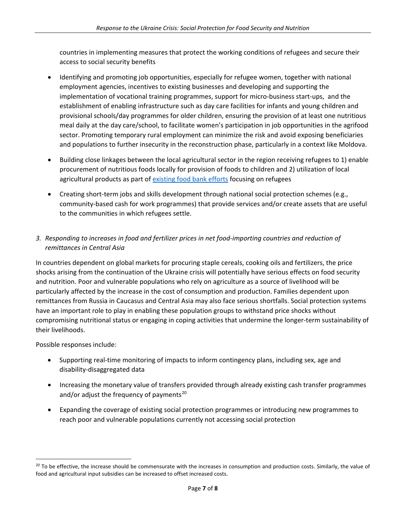countries in implementing measures that protect the working conditions of refugees and secure their access to social security benefits

- Identifying and promoting job opportunities, especially for refugee women, together with national employment agencies, incentives to existing businesses and developing and supporting the implementation of vocational training programmes, support for micro-business start-ups, and the establishment of enabling infrastructure such as day care facilities for infants and young children and provisional schools/day programmes for older children, ensuring the provision of at least one nutritious meal daily at the day care/school, to facilitate women's participation in job opportunities in the agrifood sector. Promoting temporary rural employment can minimize the risk and avoid exposing beneficiaries and populations to further insecurity in the reconstruction phase, particularly in a context like Moldova.
- Building close linkages between the local agricultural sector in the region receiving refugees to 1) enable procurement of nutritious foods locally for provision of foods to children and 2) utilization of local agricultural products as part of [existing food bank efforts](https://www.eurofoodbank.org/feba-supports-ukraine/) focusing on refugees
- Creating short-term jobs and skills development through national social protection schemes (e.g., community-based cash for work programmes) that provide services and/or create assets that are useful to the communities in which refugees settle.

### *3. Responding to increases in food and fertilizer prices in net food-importing countries and reduction of remittances in Central Asia*

In countries dependent on global markets for procuring staple cereals, cooking oils and fertilizers, the price shocks arising from the continuation of the Ukraine crisis will potentially have serious effects on food security and nutrition. Poor and vulnerable populations who rely on agriculture as a source of livelihood will be particularly affected by the increase in the cost of consumption and production. Families dependent upon remittances from Russia in Caucasus and Central Asia may also face serious shortfalls. Social protection systems have an important role to play in enabling these population groups to withstand price shocks without compromising nutritional status or engaging in coping activities that undermine the longer-term sustainability of their livelihoods.

Possible responses include:

- Supporting real-time monitoring of impacts to inform contingency plans, including sex, age and disability-disaggregated data
- Increasing the monetary value of transfers provided through already existing cash transfer programmes and/or adjust the frequency of payments $^{20}$  $^{20}$  $^{20}$
- Expanding the coverage of existing social protection programmes or introducing new programmes to reach poor and vulnerable populations currently not accessing social protection

<span id="page-6-0"></span> $20$  To be effective, the increase should be commensurate with the increases in consumption and production costs. Similarly, the value of food and agricultural input subsidies can be increased to offset increased costs.